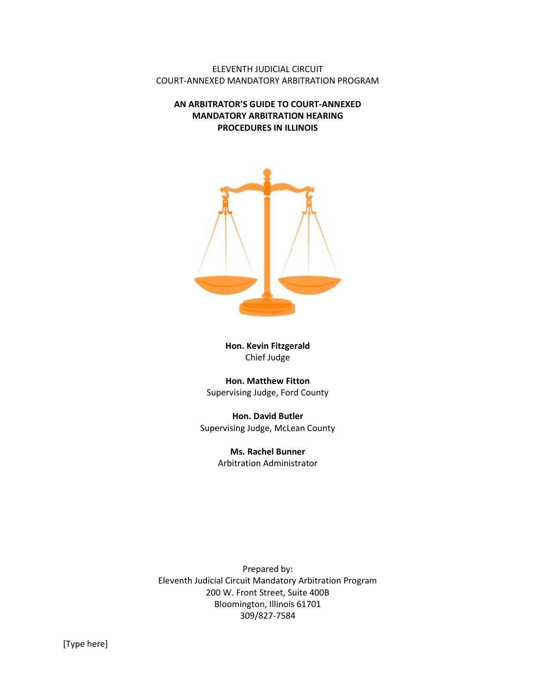ELEVENTH JUDICIAL CIRCUIT COURT-ANNEXED MANDATORY ARBITRATION PROGRAM

AN ARBITRATOR'S GUIDE TO COURT-ANNEXED MANDATORY ARBITRATION HEARING PROCEDURES IN ILLINOIS



Hon. Kevin Fitzgerald Chief Judge

Hon. Matthew Fitton Supervising Judge, Ford County

Hon. David Butler Supervising Judge, McLean County

> Ms. Rachel Bunner Arbitration Administrator

Prepared by: Eleventh Judicial Circuit Mandatory Arbitration Program 200 W. Front Street, Suite 400B Bloomington, Illinois 61701 309/827-7584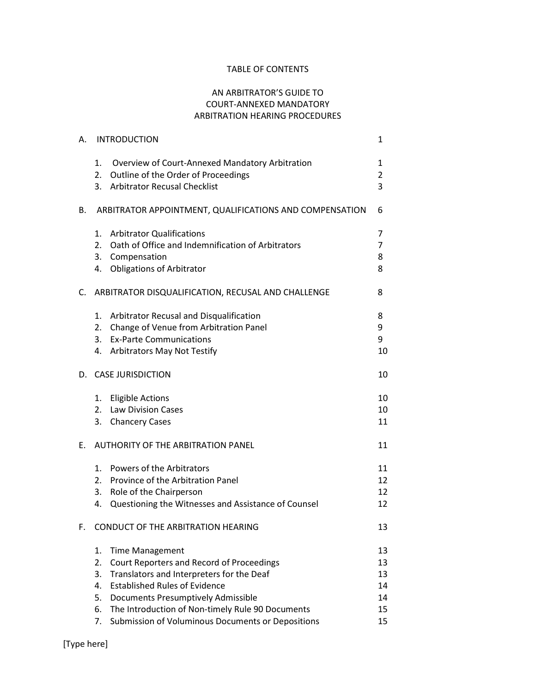### TABLE OF CONTENTS

# AN ARBITRATOR'S GUIDE TO COURT-ANNEXED MANDATORY ARBITRATION HEARING PROCEDURES

| А. | <b>INTRODUCTION</b>                                                                                                                                                                                                                                                                    |                                                         | 1                                |
|----|----------------------------------------------------------------------------------------------------------------------------------------------------------------------------------------------------------------------------------------------------------------------------------------|---------------------------------------------------------|----------------------------------|
|    | 1.<br>Overview of Court-Annexed Mandatory Arbitration<br>2.<br>Outline of the Order of Proceedings<br><b>Arbitrator Recusal Checklist</b><br>3.                                                                                                                                        |                                                         | 1<br>$\overline{2}$<br>3         |
| В. |                                                                                                                                                                                                                                                                                        | ARBITRATOR APPOINTMENT, QUALIFICATIONS AND COMPENSATION | 6                                |
|    | <b>Arbitrator Qualifications</b><br>1.<br>Oath of Office and Indemnification of Arbitrators<br>2.<br>3. Compensation<br>4. Obligations of Arbitrator                                                                                                                                   |                                                         | 7<br>7<br>8<br>8                 |
|    | C. ARBITRATOR DISQUALIFICATION, RECUSAL AND CHALLENGE                                                                                                                                                                                                                                  |                                                         | 8                                |
|    | Arbitrator Recusal and Disqualification<br>1.<br>Change of Venue from Arbitration Panel<br>2.<br><b>Ex-Parte Communications</b><br>3.<br><b>Arbitrators May Not Testify</b><br>4.                                                                                                      |                                                         | 8<br>9<br>9<br>10                |
| D. | <b>CASE JURISDICTION</b>                                                                                                                                                                                                                                                               |                                                         | 10                               |
|    | <b>Eligible Actions</b><br>1.<br>2. Law Division Cases<br>3. Chancery Cases                                                                                                                                                                                                            |                                                         | 10<br>10<br>11                   |
| E. | <b>AUTHORITY OF THE ARBITRATION PANEL</b>                                                                                                                                                                                                                                              |                                                         | 11                               |
|    | Powers of the Arbitrators<br>1.<br>Province of the Arbitration Panel<br>2.<br>3.<br>Role of the Chairperson<br>Questioning the Witnesses and Assistance of Counsel<br>4.                                                                                                               |                                                         | 11<br>12<br>12<br>12             |
| F. | CONDUCT OF THE ARBITRATION HEARING                                                                                                                                                                                                                                                     |                                                         |                                  |
|    | 1.<br><b>Time Management</b><br>2.<br>Court Reporters and Record of Proceedings<br>Translators and Interpreters for the Deaf<br>3.<br><b>Established Rules of Evidence</b><br>4.<br>5.<br>Documents Presumptively Admissible<br>The Introduction of Non-timely Rule 90 Documents<br>6. |                                                         | 13<br>13<br>13<br>14<br>14<br>15 |
|    | Submission of Voluminous Documents or Depositions<br>7.                                                                                                                                                                                                                                |                                                         | 15                               |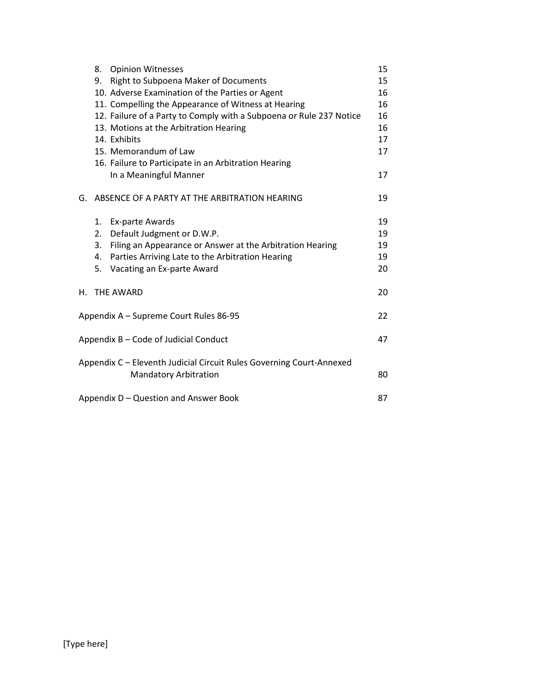|                                        | 8.                                    | <b>Opinion Witnesses</b>                                                                             | 15 |  |
|----------------------------------------|---------------------------------------|------------------------------------------------------------------------------------------------------|----|--|
|                                        | 9.                                    | Right to Subpoena Maker of Documents                                                                 | 15 |  |
|                                        |                                       | 10. Adverse Examination of the Parties or Agent                                                      | 16 |  |
|                                        |                                       | 11. Compelling the Appearance of Witness at Hearing                                                  | 16 |  |
|                                        |                                       | 12. Failure of a Party to Comply with a Subpoena or Rule 237 Notice                                  | 16 |  |
|                                        |                                       | 13. Motions at the Arbitration Hearing                                                               | 16 |  |
|                                        |                                       | 14. Exhibits                                                                                         | 17 |  |
|                                        |                                       | 15. Memorandum of Law                                                                                | 17 |  |
|                                        |                                       | 16. Failure to Participate in an Arbitration Hearing                                                 |    |  |
|                                        |                                       | In a Meaningful Manner                                                                               | 17 |  |
|                                        |                                       | G. ABSENCE OF A PARTY AT THE ARBITRATION HEARING                                                     | 19 |  |
|                                        |                                       | 1. Ex-parte Awards                                                                                   | 19 |  |
|                                        | 2.                                    | Default Judgment or D.W.P.                                                                           | 19 |  |
|                                        | 3.                                    | Filing an Appearance or Answer at the Arbitration Hearing                                            | 19 |  |
|                                        | 4.                                    | Parties Arriving Late to the Arbitration Hearing                                                     | 19 |  |
|                                        | 5.                                    | Vacating an Ex-parte Award                                                                           | 20 |  |
| Н.                                     |                                       | THE AWARD                                                                                            | 20 |  |
| Appendix A - Supreme Court Rules 86-95 |                                       |                                                                                                      |    |  |
| Appendix B - Code of Judicial Conduct  |                                       |                                                                                                      |    |  |
|                                        |                                       | Appendix C - Eleventh Judicial Circuit Rules Governing Court-Annexed<br><b>Mandatory Arbitration</b> | 80 |  |
|                                        |                                       |                                                                                                      |    |  |
|                                        | Appendix D - Question and Answer Book |                                                                                                      |    |  |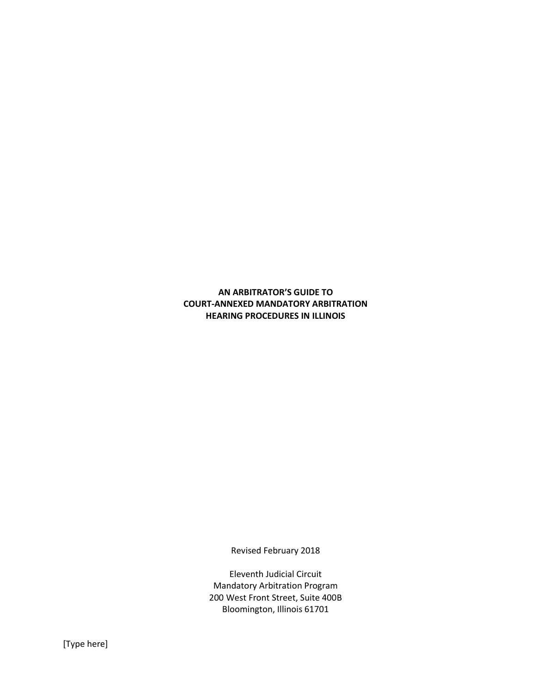AN ARBITRATOR'S GUIDE TO COURT-ANNEXED MANDATORY ARBITRATION HEARING PROCEDURES IN ILLINOIS

Revised February 2018

Eleventh Judicial Circuit Mandatory Arbitration Program 200 West Front Street, Suite 400B Bloomington, Illinois 61701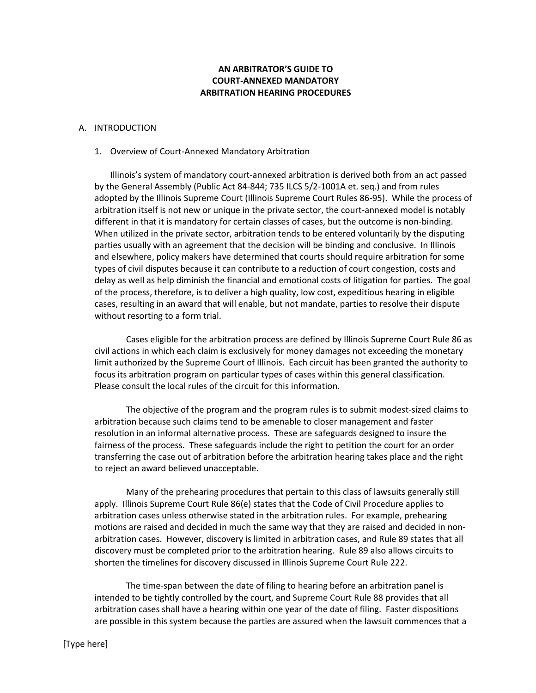### AN ARBITRATOR'S GUIDE TO COURT-ANNEXED MANDATORY ARBITRATION HEARING PROCEDURES

#### A. INTRODUCTION

#### 1. Overview of Court-Annexed Mandatory Arbitration

Illinois's system of mandatory court-annexed arbitration is derived both from an act passed by the General Assembly (Public Act 84-844; 735 ILCS 5/2-1001A et. seq.) and from rules adopted by the Illinois Supreme Court (Illinois Supreme Court Rules 86-95). While the process of arbitration itself is not new or unique in the private sector, the court-annexed model is notably different in that it is mandatory for certain classes of cases, but the outcome is non-binding. When utilized in the private sector, arbitration tends to be entered voluntarily by the disputing parties usually with an agreement that the decision will be binding and conclusive. In Illinois and elsewhere, policy makers have determined that courts should require arbitration for some types of civil disputes because it can contribute to a reduction of court congestion, costs and delay as well as help diminish the financial and emotional costs of litigation for parties. The goal of the process, therefore, is to deliver a high quality, low cost, expeditious hearing in eligible cases, resulting in an award that will enable, but not mandate, parties to resolve their dispute without resorting to a form trial.

 Cases eligible for the arbitration process are defined by Illinois Supreme Court Rule 86 as civil actions in which each claim is exclusively for money damages not exceeding the monetary limit authorized by the Supreme Court of Illinois. Each circuit has been granted the authority to focus its arbitration program on particular types of cases within this general classification. Please consult the local rules of the circuit for this information.

 The objective of the program and the program rules is to submit modest-sized claims to arbitration because such claims tend to be amenable to closer management and faster resolution in an informal alternative process. These are safeguards designed to insure the fairness of the process. These safeguards include the right to petition the court for an order transferring the case out of arbitration before the arbitration hearing takes place and the right to reject an award believed unacceptable.

 Many of the prehearing procedures that pertain to this class of lawsuits generally still apply. Illinois Supreme Court Rule 86(e) states that the Code of Civil Procedure applies to arbitration cases unless otherwise stated in the arbitration rules. For example, prehearing motions are raised and decided in much the same way that they are raised and decided in nonarbitration cases. However, discovery is limited in arbitration cases, and Rule 89 states that all discovery must be completed prior to the arbitration hearing. Rule 89 also allows circuits to shorten the timelines for discovery discussed in Illinois Supreme Court Rule 222.

 The time-span between the date of filing to hearing before an arbitration panel is intended to be tightly controlled by the court, and Supreme Court Rule 88 provides that all arbitration cases shall have a hearing within one year of the date of filing. Faster dispositions are possible in this system because the parties are assured when the lawsuit commences that a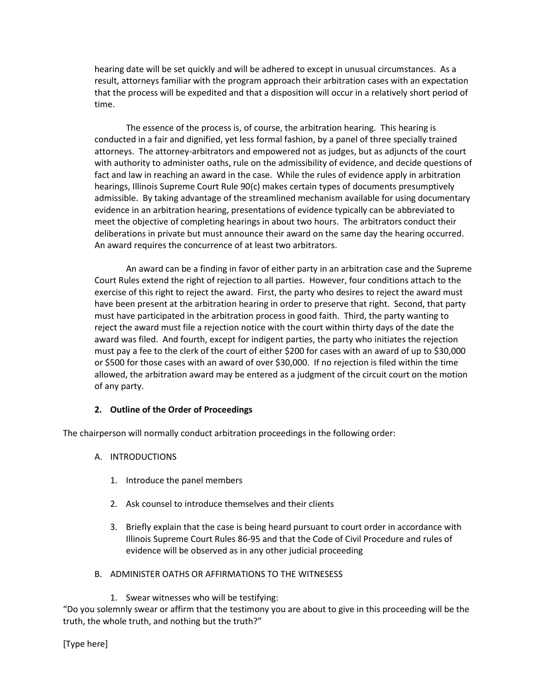hearing date will be set quickly and will be adhered to except in unusual circumstances. As a result, attorneys familiar with the program approach their arbitration cases with an expectation that the process will be expedited and that a disposition will occur in a relatively short period of time.

 The essence of the process is, of course, the arbitration hearing. This hearing is conducted in a fair and dignified, yet less formal fashion, by a panel of three specially trained attorneys. The attorney-arbitrators and empowered not as judges, but as adjuncts of the court with authority to administer oaths, rule on the admissibility of evidence, and decide questions of fact and law in reaching an award in the case. While the rules of evidence apply in arbitration hearings, Illinois Supreme Court Rule 90(c) makes certain types of documents presumptively admissible. By taking advantage of the streamlined mechanism available for using documentary evidence in an arbitration hearing, presentations of evidence typically can be abbreviated to meet the objective of completing hearings in about two hours. The arbitrators conduct their deliberations in private but must announce their award on the same day the hearing occurred. An award requires the concurrence of at least two arbitrators.

 An award can be a finding in favor of either party in an arbitration case and the Supreme Court Rules extend the right of rejection to all parties. However, four conditions attach to the exercise of this right to reject the award. First, the party who desires to reject the award must have been present at the arbitration hearing in order to preserve that right. Second, that party must have participated in the arbitration process in good faith. Third, the party wanting to reject the award must file a rejection notice with the court within thirty days of the date the award was filed. And fourth, except for indigent parties, the party who initiates the rejection must pay a fee to the clerk of the court of either \$200 for cases with an award of up to \$30,000 or \$500 for those cases with an award of over \$30,000. If no rejection is filed within the time allowed, the arbitration award may be entered as a judgment of the circuit court on the motion of any party.

# 2. Outline of the Order of Proceedings

The chairperson will normally conduct arbitration proceedings in the following order:

- A. INTRODUCTIONS
	- 1. Introduce the panel members
	- 2. Ask counsel to introduce themselves and their clients
	- 3. Briefly explain that the case is being heard pursuant to court order in accordance with Illinois Supreme Court Rules 86-95 and that the Code of Civil Procedure and rules of evidence will be observed as in any other judicial proceeding
- B. ADMINISTER OATHS OR AFFIRMATIONS TO THE WITNESESS
	- 1. Swear witnesses who will be testifying:

"Do you solemnly swear or affirm that the testimony you are about to give in this proceeding will be the truth, the whole truth, and nothing but the truth?"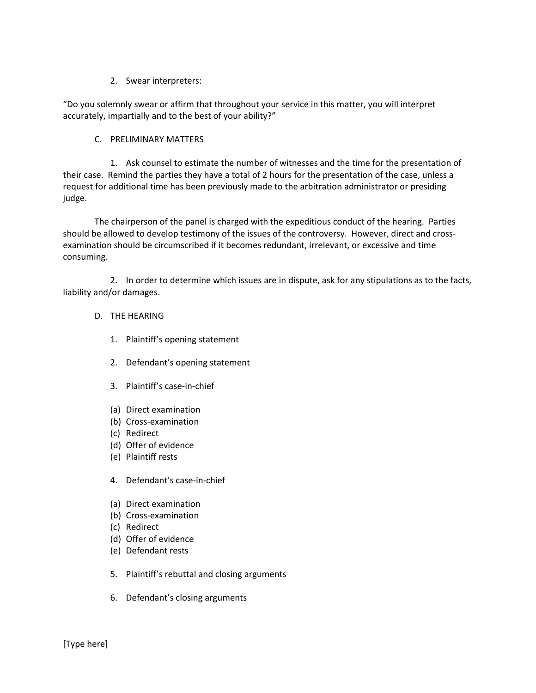#### 2. Swear interpreters:

"Do you solemnly swear or affirm that throughout your service in this matter, you will interpret accurately, impartially and to the best of your ability?"

#### C. PRELIMINARY MATTERS

1. Ask counsel to estimate the number of witnesses and the time for the presentation of their case. Remind the parties they have a total of 2 hours for the presentation of the case, unless a request for additional time has been previously made to the arbitration administrator or presiding judge.

 The chairperson of the panel is charged with the expeditious conduct of the hearing. Parties should be allowed to develop testimony of the issues of the controversy. However, direct and crossexamination should be circumscribed if it becomes redundant, irrelevant, or excessive and time consuming.

2. In order to determine which issues are in dispute, ask for any stipulations as to the facts, liability and/or damages.

#### D. THE HEARING

- 1. Plaintiff's opening statement
- 2. Defendant's opening statement
- 3. Plaintiff's case-in-chief
- (a) Direct examination
- (b) Cross-examination
- (c) Redirect
- (d) Offer of evidence
- (e) Plaintiff rests
- 4. Defendant's case-in-chief
- (a) Direct examination
- (b) Cross-examination
- (c) Redirect
- (d) Offer of evidence
- (e) Defendant rests
- 5. Plaintiff's rebuttal and closing arguments
- 6. Defendant's closing arguments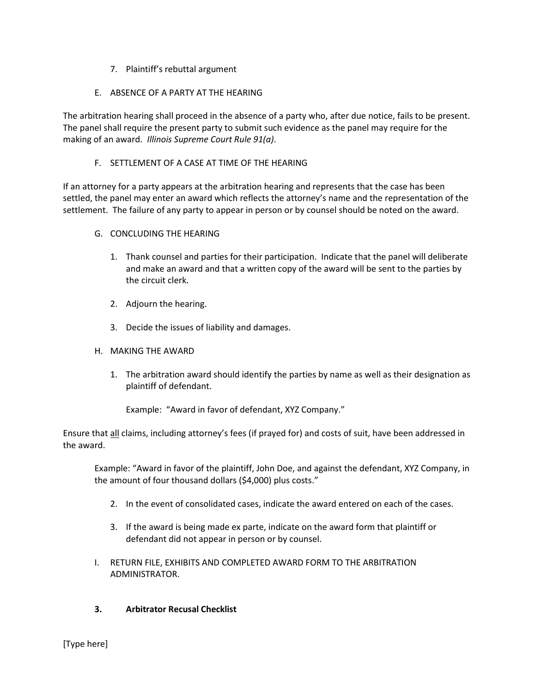- 7. Plaintiff's rebuttal argument
- E. ABSENCE OF A PARTY AT THE HEARING

The arbitration hearing shall proceed in the absence of a party who, after due notice, fails to be present. The panel shall require the present party to submit such evidence as the panel may require for the making of an award. Illinois Supreme Court Rule 91(a).

### F. SETTLEMENT OF A CASE AT TIME OF THE HEARING

If an attorney for a party appears at the arbitration hearing and represents that the case has been settled, the panel may enter an award which reflects the attorney's name and the representation of the settlement. The failure of any party to appear in person or by counsel should be noted on the award.

- G. CONCLUDING THE HEARING
	- 1. Thank counsel and parties for their participation. Indicate that the panel will deliberate and make an award and that a written copy of the award will be sent to the parties by the circuit clerk.
	- 2. Adjourn the hearing.
	- 3. Decide the issues of liability and damages.
- H. MAKING THE AWARD
	- 1. The arbitration award should identify the parties by name as well as their designation as plaintiff of defendant.

Example: "Award in favor of defendant, XYZ Company."

Ensure that all claims, including attorney's fees (if prayed for) and costs of suit, have been addressed in the award.

Example: "Award in favor of the plaintiff, John Doe, and against the defendant, XYZ Company, in the amount of four thousand dollars (\$4,000) plus costs."

- 2. In the event of consolidated cases, indicate the award entered on each of the cases.
- 3. If the award is being made ex parte, indicate on the award form that plaintiff or defendant did not appear in person or by counsel.
- I. RETURN FILE, EXHIBITS AND COMPLETED AWARD FORM TO THE ARBITRATION ADMINISTRATOR.
- 3. Arbitrator Recusal Checklist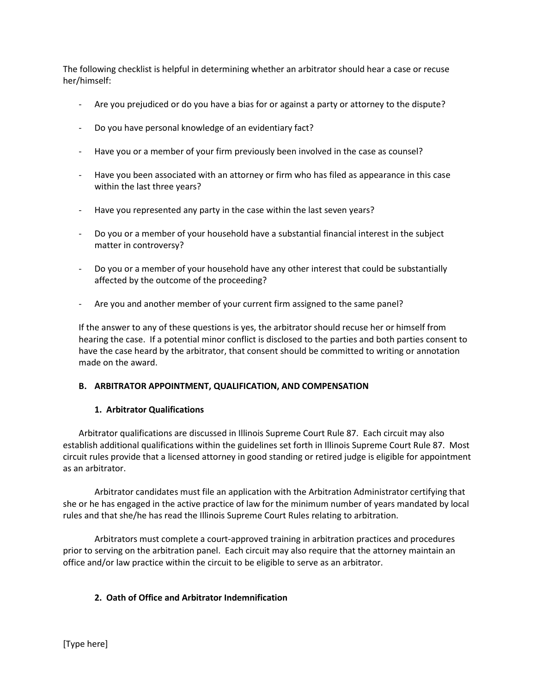The following checklist is helpful in determining whether an arbitrator should hear a case or recuse her/himself:

- Are you prejudiced or do you have a bias for or against a party or attorney to the dispute?
- Do you have personal knowledge of an evidentiary fact?
- Have you or a member of your firm previously been involved in the case as counsel?
- Have you been associated with an attorney or firm who has filed as appearance in this case within the last three years?
- Have you represented any party in the case within the last seven years?
- Do you or a member of your household have a substantial financial interest in the subject matter in controversy?
- Do you or a member of your household have any other interest that could be substantially affected by the outcome of the proceeding?
- Are you and another member of your current firm assigned to the same panel?

If the answer to any of these questions is yes, the arbitrator should recuse her or himself from hearing the case. If a potential minor conflict is disclosed to the parties and both parties consent to have the case heard by the arbitrator, that consent should be committed to writing or annotation made on the award.

#### B. ARBITRATOR APPOINTMENT, QUALIFICATION, AND COMPENSATION

#### 1. Arbitrator Qualifications

Arbitrator qualifications are discussed in Illinois Supreme Court Rule 87. Each circuit may also establish additional qualifications within the guidelines set forth in Illinois Supreme Court Rule 87. Most circuit rules provide that a licensed attorney in good standing or retired judge is eligible for appointment as an arbitrator.

 Arbitrator candidates must file an application with the Arbitration Administrator certifying that she or he has engaged in the active practice of law for the minimum number of years mandated by local rules and that she/he has read the Illinois Supreme Court Rules relating to arbitration.

 Arbitrators must complete a court-approved training in arbitration practices and procedures prior to serving on the arbitration panel. Each circuit may also require that the attorney maintain an office and/or law practice within the circuit to be eligible to serve as an arbitrator.

#### 2. Oath of Office and Arbitrator Indemnification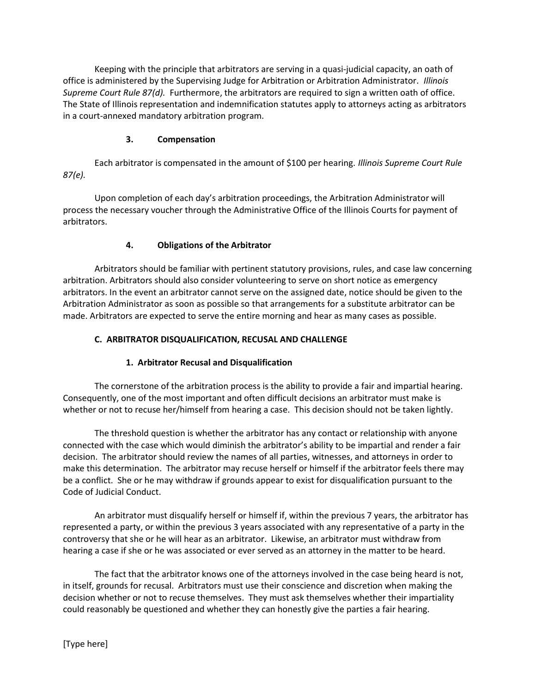Keeping with the principle that arbitrators are serving in a quasi-judicial capacity, an oath of office is administered by the Supervising Judge for Arbitration or Arbitration Administrator. Illinois Supreme Court Rule 87(d). Furthermore, the arbitrators are required to sign a written oath of office. The State of Illinois representation and indemnification statutes apply to attorneys acting as arbitrators in a court-annexed mandatory arbitration program.

# 3. Compensation

Each arbitrator is compensated in the amount of \$100 per hearing. Illinois Supreme Court Rule 87(e).

Upon completion of each day's arbitration proceedings, the Arbitration Administrator will process the necessary voucher through the Administrative Office of the Illinois Courts for payment of arbitrators.

# 4. Obligations of the Arbitrator

Arbitrators should be familiar with pertinent statutory provisions, rules, and case law concerning arbitration. Arbitrators should also consider volunteering to serve on short notice as emergency arbitrators. In the event an arbitrator cannot serve on the assigned date, notice should be given to the Arbitration Administrator as soon as possible so that arrangements for a substitute arbitrator can be made. Arbitrators are expected to serve the entire morning and hear as many cases as possible.

# C. ARBITRATOR DISQUALIFICATION, RECUSAL AND CHALLENGE

# 1. Arbitrator Recusal and Disqualification

 The cornerstone of the arbitration process is the ability to provide a fair and impartial hearing. Consequently, one of the most important and often difficult decisions an arbitrator must make is whether or not to recuse her/himself from hearing a case. This decision should not be taken lightly.

 The threshold question is whether the arbitrator has any contact or relationship with anyone connected with the case which would diminish the arbitrator's ability to be impartial and render a fair decision. The arbitrator should review the names of all parties, witnesses, and attorneys in order to make this determination. The arbitrator may recuse herself or himself if the arbitrator feels there may be a conflict. She or he may withdraw if grounds appear to exist for disqualification pursuant to the Code of Judicial Conduct.

 An arbitrator must disqualify herself or himself if, within the previous 7 years, the arbitrator has represented a party, or within the previous 3 years associated with any representative of a party in the controversy that she or he will hear as an arbitrator. Likewise, an arbitrator must withdraw from hearing a case if she or he was associated or ever served as an attorney in the matter to be heard.

 The fact that the arbitrator knows one of the attorneys involved in the case being heard is not, in itself, grounds for recusal. Arbitrators must use their conscience and discretion when making the decision whether or not to recuse themselves. They must ask themselves whether their impartiality could reasonably be questioned and whether they can honestly give the parties a fair hearing.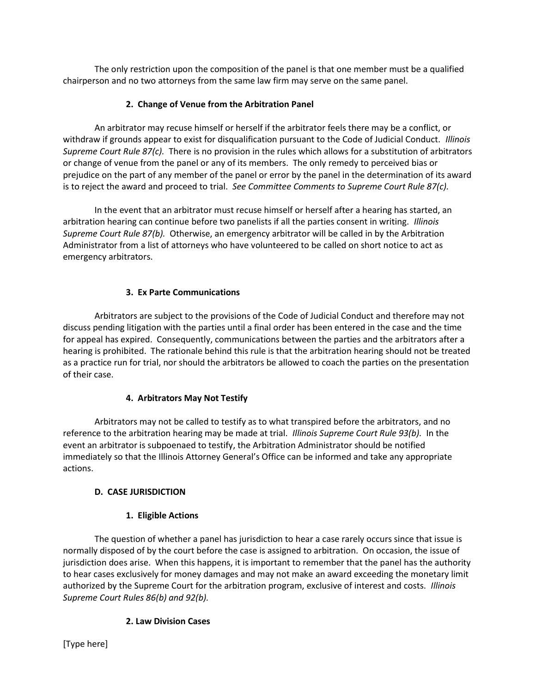The only restriction upon the composition of the panel is that one member must be a qualified chairperson and no two attorneys from the same law firm may serve on the same panel.

# 2. Change of Venue from the Arbitration Panel

 An arbitrator may recuse himself or herself if the arbitrator feels there may be a conflict, or withdraw if grounds appear to exist for disqualification pursuant to the Code of Judicial Conduct. Illinois Supreme Court Rule 87(c). There is no provision in the rules which allows for a substitution of arbitrators or change of venue from the panel or any of its members. The only remedy to perceived bias or prejudice on the part of any member of the panel or error by the panel in the determination of its award is to reject the award and proceed to trial. See Committee Comments to Supreme Court Rule 87(c).

 In the event that an arbitrator must recuse himself or herself after a hearing has started, an arbitration hearing can continue before two panelists if all the parties consent in writing. Illinois Supreme Court Rule 87(b). Otherwise, an emergency arbitrator will be called in by the Arbitration Administrator from a list of attorneys who have volunteered to be called on short notice to act as emergency arbitrators.

# 3. Ex Parte Communications

 Arbitrators are subject to the provisions of the Code of Judicial Conduct and therefore may not discuss pending litigation with the parties until a final order has been entered in the case and the time for appeal has expired. Consequently, communications between the parties and the arbitrators after a hearing is prohibited. The rationale behind this rule is that the arbitration hearing should not be treated as a practice run for trial, nor should the arbitrators be allowed to coach the parties on the presentation of their case.

# 4. Arbitrators May Not Testify

 Arbitrators may not be called to testify as to what transpired before the arbitrators, and no reference to the arbitration hearing may be made at trial. *Illinois Supreme Court Rule 93(b)*. In the event an arbitrator is subpoenaed to testify, the Arbitration Administrator should be notified immediately so that the Illinois Attorney General's Office can be informed and take any appropriate actions.

# D. CASE JURISDICTION

# 1. Eligible Actions

 The question of whether a panel has jurisdiction to hear a case rarely occurs since that issue is normally disposed of by the court before the case is assigned to arbitration. On occasion, the issue of jurisdiction does arise. When this happens, it is important to remember that the panel has the authority to hear cases exclusively for money damages and may not make an award exceeding the monetary limit authorized by the Supreme Court for the arbitration program, exclusive of interest and costs. Illinois Supreme Court Rules 86(b) and 92(b).

# 2. Law Division Cases

[Type here]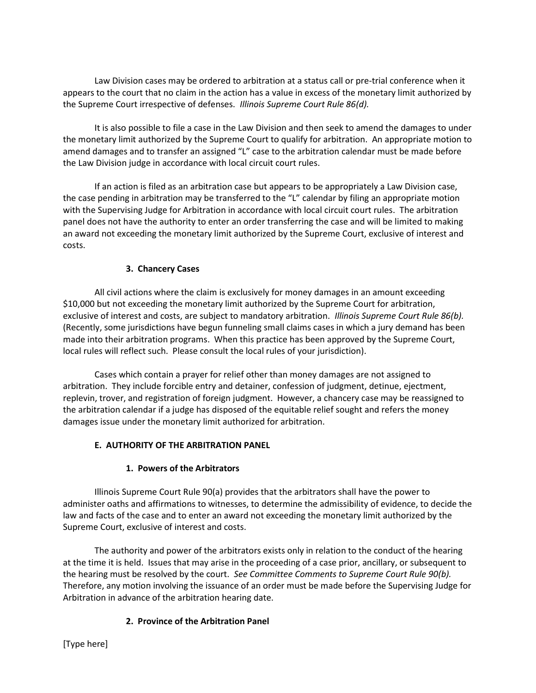Law Division cases may be ordered to arbitration at a status call or pre-trial conference when it appears to the court that no claim in the action has a value in excess of the monetary limit authorized by the Supreme Court irrespective of defenses. Illinois Supreme Court Rule 86(d).

 It is also possible to file a case in the Law Division and then seek to amend the damages to under the monetary limit authorized by the Supreme Court to qualify for arbitration. An appropriate motion to amend damages and to transfer an assigned "L" case to the arbitration calendar must be made before the Law Division judge in accordance with local circuit court rules.

 If an action is filed as an arbitration case but appears to be appropriately a Law Division case, the case pending in arbitration may be transferred to the "L" calendar by filing an appropriate motion with the Supervising Judge for Arbitration in accordance with local circuit court rules. The arbitration panel does not have the authority to enter an order transferring the case and will be limited to making an award not exceeding the monetary limit authorized by the Supreme Court, exclusive of interest and costs.

### 3. Chancery Cases

 All civil actions where the claim is exclusively for money damages in an amount exceeding \$10,000 but not exceeding the monetary limit authorized by the Supreme Court for arbitration, exclusive of interest and costs, are subject to mandatory arbitration. Illinois Supreme Court Rule 86(b). (Recently, some jurisdictions have begun funneling small claims cases in which a jury demand has been made into their arbitration programs. When this practice has been approved by the Supreme Court, local rules will reflect such. Please consult the local rules of your jurisdiction).

 Cases which contain a prayer for relief other than money damages are not assigned to arbitration. They include forcible entry and detainer, confession of judgment, detinue, ejectment, replevin, trover, and registration of foreign judgment. However, a chancery case may be reassigned to the arbitration calendar if a judge has disposed of the equitable relief sought and refers the money damages issue under the monetary limit authorized for arbitration.

# E. AUTHORITY OF THE ARBITRATION PANEL

#### 1. Powers of the Arbitrators

 Illinois Supreme Court Rule 90(a) provides that the arbitrators shall have the power to administer oaths and affirmations to witnesses, to determine the admissibility of evidence, to decide the law and facts of the case and to enter an award not exceeding the monetary limit authorized by the Supreme Court, exclusive of interest and costs.

 The authority and power of the arbitrators exists only in relation to the conduct of the hearing at the time it is held. Issues that may arise in the proceeding of a case prior, ancillary, or subsequent to the hearing must be resolved by the court. See Committee Comments to Supreme Court Rule 90(b). Therefore, any motion involving the issuance of an order must be made before the Supervising Judge for Arbitration in advance of the arbitration hearing date.

# 2. Province of the Arbitration Panel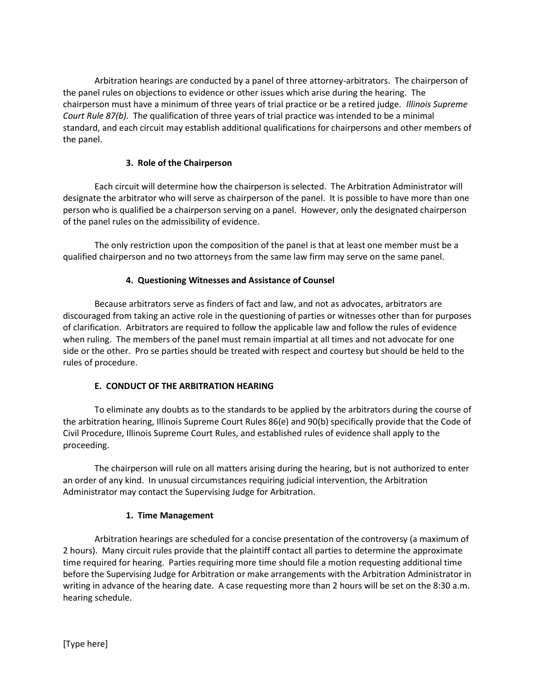Arbitration hearings are conducted by a panel of three attorney-arbitrators. The chairperson of the panel rules on objections to evidence or other issues which arise during the hearing. The chairperson must have a minimum of three years of trial practice or be a retired judge. Illinois Supreme Court Rule 87(b). The qualification of three years of trial practice was intended to be a minimal standard, and each circuit may establish additional qualifications for chairpersons and other members of the panel.

### 3. Role of the Chairperson

 Each circuit will determine how the chairperson is selected. The Arbitration Administrator will designate the arbitrator who will serve as chairperson of the panel. It is possible to have more than one person who is qualified be a chairperson serving on a panel. However, only the designated chairperson of the panel rules on the admissibility of evidence.

 The only restriction upon the composition of the panel is that at least one member must be a qualified chairperson and no two attorneys from the same law firm may serve on the same panel.

### 4. Questioning Witnesses and Assistance of Counsel

 Because arbitrators serve as finders of fact and law, and not as advocates, arbitrators are discouraged from taking an active role in the questioning of parties or witnesses other than for purposes of clarification. Arbitrators are required to follow the applicable law and follow the rules of evidence when ruling. The members of the panel must remain impartial at all times and not advocate for one side or the other. Pro se parties should be treated with respect and courtesy but should be held to the rules of procedure.

#### E. CONDUCT OF THE ARBITRATION HEARING

 To eliminate any doubts as to the standards to be applied by the arbitrators during the course of the arbitration hearing, Illinois Supreme Court Rules 86(e) and 90(b) specifically provide that the Code of Civil Procedure, Illinois Supreme Court Rules, and established rules of evidence shall apply to the proceeding.

 The chairperson will rule on all matters arising during the hearing, but is not authorized to enter an order of any kind. In unusual circumstances requiring judicial intervention, the Arbitration Administrator may contact the Supervising Judge for Arbitration.

# 1. Time Management

 Arbitration hearings are scheduled for a concise presentation of the controversy (a maximum of 2 hours). Many circuit rules provide that the plaintiff contact all parties to determine the approximate time required for hearing. Parties requiring more time should file a motion requesting additional time before the Supervising Judge for Arbitration or make arrangements with the Arbitration Administrator in writing in advance of the hearing date. A case requesting more than 2 hours will be set on the 8:30 a.m. hearing schedule.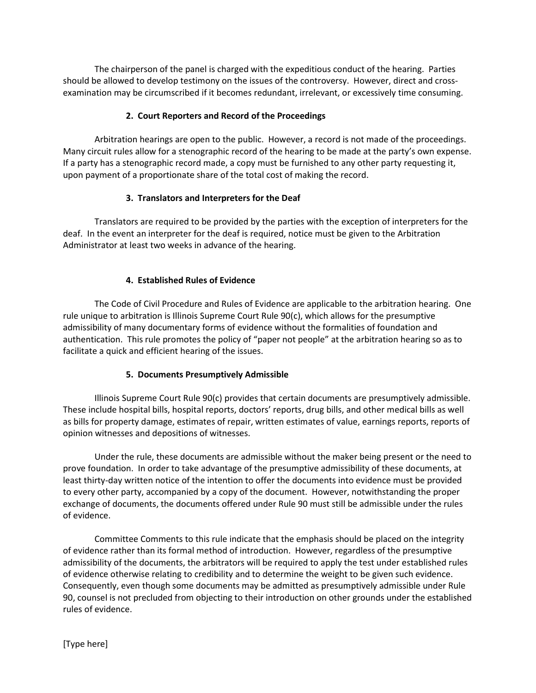The chairperson of the panel is charged with the expeditious conduct of the hearing. Parties should be allowed to develop testimony on the issues of the controversy. However, direct and crossexamination may be circumscribed if it becomes redundant, irrelevant, or excessively time consuming.

### 2. Court Reporters and Record of the Proceedings

 Arbitration hearings are open to the public. However, a record is not made of the proceedings. Many circuit rules allow for a stenographic record of the hearing to be made at the party's own expense. If a party has a stenographic record made, a copy must be furnished to any other party requesting it, upon payment of a proportionate share of the total cost of making the record.

### 3. Translators and Interpreters for the Deaf

 Translators are required to be provided by the parties with the exception of interpreters for the deaf. In the event an interpreter for the deaf is required, notice must be given to the Arbitration Administrator at least two weeks in advance of the hearing.

### 4. Established Rules of Evidence

 The Code of Civil Procedure and Rules of Evidence are applicable to the arbitration hearing. One rule unique to arbitration is Illinois Supreme Court Rule 90(c), which allows for the presumptive admissibility of many documentary forms of evidence without the formalities of foundation and authentication. This rule promotes the policy of "paper not people" at the arbitration hearing so as to facilitate a quick and efficient hearing of the issues.

# 5. Documents Presumptively Admissible

 Illinois Supreme Court Rule 90(c) provides that certain documents are presumptively admissible. These include hospital bills, hospital reports, doctors' reports, drug bills, and other medical bills as well as bills for property damage, estimates of repair, written estimates of value, earnings reports, reports of opinion witnesses and depositions of witnesses.

 Under the rule, these documents are admissible without the maker being present or the need to prove foundation. In order to take advantage of the presumptive admissibility of these documents, at least thirty-day written notice of the intention to offer the documents into evidence must be provided to every other party, accompanied by a copy of the document. However, notwithstanding the proper exchange of documents, the documents offered under Rule 90 must still be admissible under the rules of evidence.

 Committee Comments to this rule indicate that the emphasis should be placed on the integrity of evidence rather than its formal method of introduction. However, regardless of the presumptive admissibility of the documents, the arbitrators will be required to apply the test under established rules of evidence otherwise relating to credibility and to determine the weight to be given such evidence. Consequently, even though some documents may be admitted as presumptively admissible under Rule 90, counsel is not precluded from objecting to their introduction on other grounds under the established rules of evidence.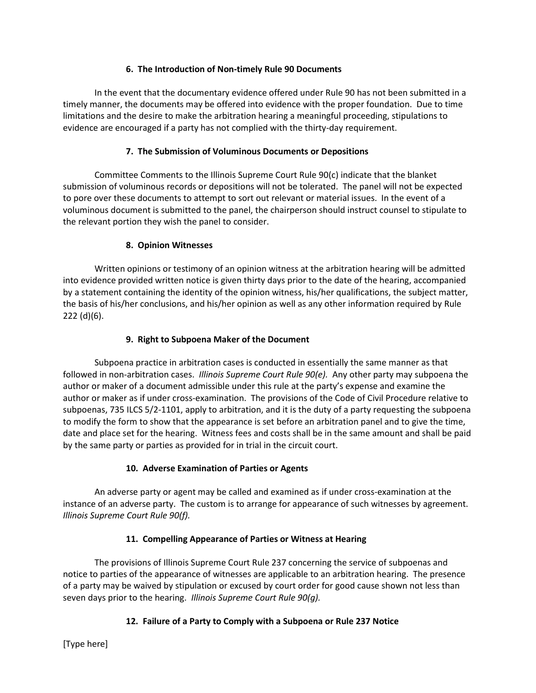# 6. The Introduction of Non-timely Rule 90 Documents

 In the event that the documentary evidence offered under Rule 90 has not been submitted in a timely manner, the documents may be offered into evidence with the proper foundation. Due to time limitations and the desire to make the arbitration hearing a meaningful proceeding, stipulations to evidence are encouraged if a party has not complied with the thirty-day requirement.

### 7. The Submission of Voluminous Documents or Depositions

 Committee Comments to the Illinois Supreme Court Rule 90(c) indicate that the blanket submission of voluminous records or depositions will not be tolerated. The panel will not be expected to pore over these documents to attempt to sort out relevant or material issues. In the event of a voluminous document is submitted to the panel, the chairperson should instruct counsel to stipulate to the relevant portion they wish the panel to consider.

### 8. Opinion Witnesses

 Written opinions or testimony of an opinion witness at the arbitration hearing will be admitted into evidence provided written notice is given thirty days prior to the date of the hearing, accompanied by a statement containing the identity of the opinion witness, his/her qualifications, the subject matter, the basis of his/her conclusions, and his/her opinion as well as any other information required by Rule 222 (d)(6).

### 9. Right to Subpoena Maker of the Document

 Subpoena practice in arbitration cases is conducted in essentially the same manner as that followed in non-arbitration cases. Illinois Supreme Court Rule 90(e). Any other party may subpoena the author or maker of a document admissible under this rule at the party's expense and examine the author or maker as if under cross-examination. The provisions of the Code of Civil Procedure relative to subpoenas, 735 ILCS 5/2-1101, apply to arbitration, and it is the duty of a party requesting the subpoena to modify the form to show that the appearance is set before an arbitration panel and to give the time, date and place set for the hearing. Witness fees and costs shall be in the same amount and shall be paid by the same party or parties as provided for in trial in the circuit court.

# 10. Adverse Examination of Parties or Agents

 An adverse party or agent may be called and examined as if under cross-examination at the instance of an adverse party. The custom is to arrange for appearance of such witnesses by agreement. Illinois Supreme Court Rule 90(f).

# 11. Compelling Appearance of Parties or Witness at Hearing

 The provisions of Illinois Supreme Court Rule 237 concerning the service of subpoenas and notice to parties of the appearance of witnesses are applicable to an arbitration hearing. The presence of a party may be waived by stipulation or excused by court order for good cause shown not less than seven days prior to the hearing. Illinois Supreme Court Rule 90(q).

# 12. Failure of a Party to Comply with a Subpoena or Rule 237 Notice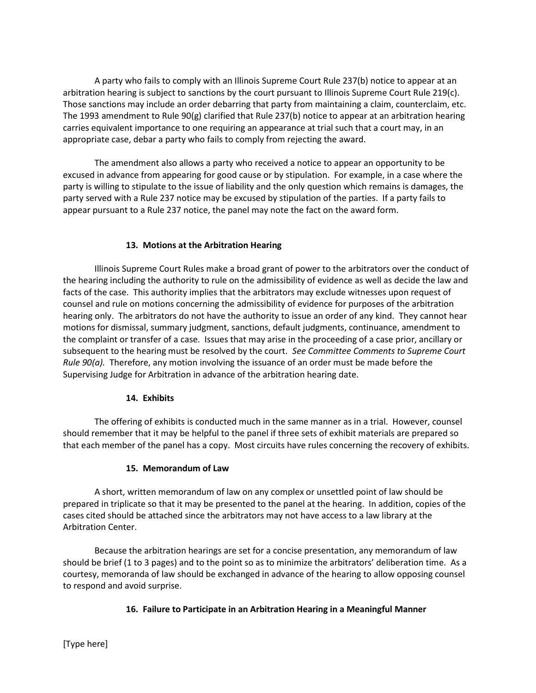A party who fails to comply with an Illinois Supreme Court Rule 237(b) notice to appear at an arbitration hearing is subject to sanctions by the court pursuant to Illinois Supreme Court Rule 219(c). Those sanctions may include an order debarring that party from maintaining a claim, counterclaim, etc. The 1993 amendment to Rule 90(g) clarified that Rule 237(b) notice to appear at an arbitration hearing carries equivalent importance to one requiring an appearance at trial such that a court may, in an appropriate case, debar a party who fails to comply from rejecting the award.

 The amendment also allows a party who received a notice to appear an opportunity to be excused in advance from appearing for good cause or by stipulation. For example, in a case where the party is willing to stipulate to the issue of liability and the only question which remains is damages, the party served with a Rule 237 notice may be excused by stipulation of the parties. If a party fails to appear pursuant to a Rule 237 notice, the panel may note the fact on the award form.

# 13. Motions at the Arbitration Hearing

 Illinois Supreme Court Rules make a broad grant of power to the arbitrators over the conduct of the hearing including the authority to rule on the admissibility of evidence as well as decide the law and facts of the case. This authority implies that the arbitrators may exclude witnesses upon request of counsel and rule on motions concerning the admissibility of evidence for purposes of the arbitration hearing only. The arbitrators do not have the authority to issue an order of any kind. They cannot hear motions for dismissal, summary judgment, sanctions, default judgments, continuance, amendment to the complaint or transfer of a case. Issues that may arise in the proceeding of a case prior, ancillary or subsequent to the hearing must be resolved by the court. See Committee Comments to Supreme Court Rule  $90(a)$ . Therefore, any motion involving the issuance of an order must be made before the Supervising Judge for Arbitration in advance of the arbitration hearing date.

#### 14. Exhibits

 The offering of exhibits is conducted much in the same manner as in a trial. However, counsel should remember that it may be helpful to the panel if three sets of exhibit materials are prepared so that each member of the panel has a copy. Most circuits have rules concerning the recovery of exhibits.

# 15. Memorandum of Law

 A short, written memorandum of law on any complex or unsettled point of law should be prepared in triplicate so that it may be presented to the panel at the hearing. In addition, copies of the cases cited should be attached since the arbitrators may not have access to a law library at the Arbitration Center.

 Because the arbitration hearings are set for a concise presentation, any memorandum of law should be brief (1 to 3 pages) and to the point so as to minimize the arbitrators' deliberation time. As a courtesy, memoranda of law should be exchanged in advance of the hearing to allow opposing counsel to respond and avoid surprise.

# 16. Failure to Participate in an Arbitration Hearing in a Meaningful Manner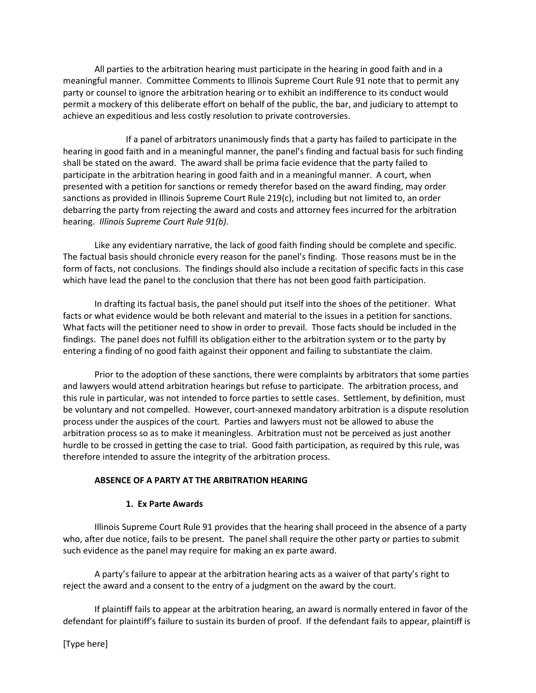All parties to the arbitration hearing must participate in the hearing in good faith and in a meaningful manner. Committee Comments to Illinois Supreme Court Rule 91 note that to permit any party or counsel to ignore the arbitration hearing or to exhibit an indifference to its conduct would permit a mockery of this deliberate effort on behalf of the public, the bar, and judiciary to attempt to achieve an expeditious and less costly resolution to private controversies.

 If a panel of arbitrators unanimously finds that a party has failed to participate in the hearing in good faith and in a meaningful manner, the panel's finding and factual basis for such finding shall be stated on the award. The award shall be prima facie evidence that the party failed to participate in the arbitration hearing in good faith and in a meaningful manner. A court, when presented with a petition for sanctions or remedy therefor based on the award finding, may order sanctions as provided in Illinois Supreme Court Rule 219(c), including but not limited to, an order debarring the party from rejecting the award and costs and attorney fees incurred for the arbitration hearing. Illinois Supreme Court Rule 91(b).

 Like any evidentiary narrative, the lack of good faith finding should be complete and specific. The factual basis should chronicle every reason for the panel's finding. Those reasons must be in the form of facts, not conclusions. The findings should also include a recitation of specific facts in this case which have lead the panel to the conclusion that there has not been good faith participation.

 In drafting its factual basis, the panel should put itself into the shoes of the petitioner. What facts or what evidence would be both relevant and material to the issues in a petition for sanctions. What facts will the petitioner need to show in order to prevail. Those facts should be included in the findings. The panel does not fulfill its obligation either to the arbitration system or to the party by entering a finding of no good faith against their opponent and failing to substantiate the claim.

 Prior to the adoption of these sanctions, there were complaints by arbitrators that some parties and lawyers would attend arbitration hearings but refuse to participate. The arbitration process, and this rule in particular, was not intended to force parties to settle cases. Settlement, by definition, must be voluntary and not compelled. However, court-annexed mandatory arbitration is a dispute resolution process under the auspices of the court. Parties and lawyers must not be allowed to abuse the arbitration process so as to make it meaningless. Arbitration must not be perceived as just another hurdle to be crossed in getting the case to trial. Good faith participation, as required by this rule, was therefore intended to assure the integrity of the arbitration process.

#### ABSENCE OF A PARTY AT THE ARBITRATION HEARING

#### 1. Ex Parte Awards

 Illinois Supreme Court Rule 91 provides that the hearing shall proceed in the absence of a party who, after due notice, fails to be present. The panel shall require the other party or parties to submit such evidence as the panel may require for making an ex parte award.

 A party's failure to appear at the arbitration hearing acts as a waiver of that party's right to reject the award and a consent to the entry of a judgment on the award by the court.

 If plaintiff fails to appear at the arbitration hearing, an award is normally entered in favor of the defendant for plaintiff's failure to sustain its burden of proof. If the defendant fails to appear, plaintiff is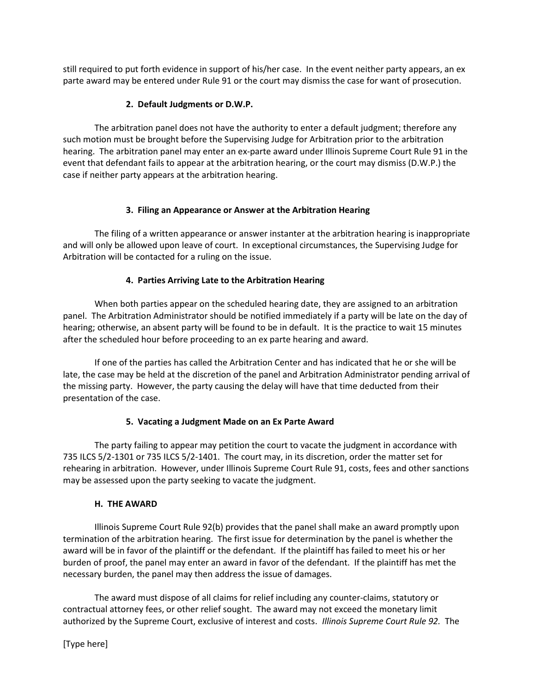still required to put forth evidence in support of his/her case. In the event neither party appears, an ex parte award may be entered under Rule 91 or the court may dismiss the case for want of prosecution.

### 2. Default Judgments or D.W.P.

 The arbitration panel does not have the authority to enter a default judgment; therefore any such motion must be brought before the Supervising Judge for Arbitration prior to the arbitration hearing. The arbitration panel may enter an ex-parte award under Illinois Supreme Court Rule 91 in the event that defendant fails to appear at the arbitration hearing, or the court may dismiss (D.W.P.) the case if neither party appears at the arbitration hearing.

### 3. Filing an Appearance or Answer at the Arbitration Hearing

 The filing of a written appearance or answer instanter at the arbitration hearing is inappropriate and will only be allowed upon leave of court. In exceptional circumstances, the Supervising Judge for Arbitration will be contacted for a ruling on the issue.

# 4. Parties Arriving Late to the Arbitration Hearing

 When both parties appear on the scheduled hearing date, they are assigned to an arbitration panel. The Arbitration Administrator should be notified immediately if a party will be late on the day of hearing; otherwise, an absent party will be found to be in default. It is the practice to wait 15 minutes after the scheduled hour before proceeding to an ex parte hearing and award.

 If one of the parties has called the Arbitration Center and has indicated that he or she will be late, the case may be held at the discretion of the panel and Arbitration Administrator pending arrival of the missing party. However, the party causing the delay will have that time deducted from their presentation of the case.

# 5. Vacating a Judgment Made on an Ex Parte Award

 The party failing to appear may petition the court to vacate the judgment in accordance with 735 ILCS 5/2-1301 or 735 ILCS 5/2-1401. The court may, in its discretion, order the matter set for rehearing in arbitration. However, under Illinois Supreme Court Rule 91, costs, fees and other sanctions may be assessed upon the party seeking to vacate the judgment.

#### H. THE AWARD

 Illinois Supreme Court Rule 92(b) provides that the panel shall make an award promptly upon termination of the arbitration hearing. The first issue for determination by the panel is whether the award will be in favor of the plaintiff or the defendant. If the plaintiff has failed to meet his or her burden of proof, the panel may enter an award in favor of the defendant. If the plaintiff has met the necessary burden, the panel may then address the issue of damages.

 The award must dispose of all claims for relief including any counter-claims, statutory or contractual attorney fees, or other relief sought. The award may not exceed the monetary limit authorized by the Supreme Court, exclusive of interest and costs. Illinois Supreme Court Rule 92. The